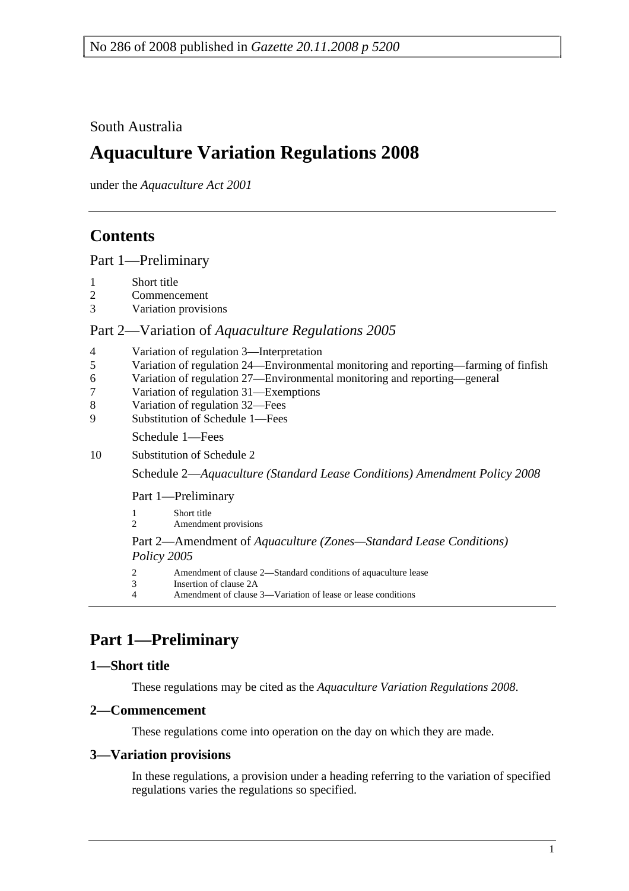### South Australia

# **Aquaculture Variation Regulations 2008**

under the *Aquaculture Act 2001*

## **Contents**

Part 1—Preliminary

- 1 Short title
- 2 Commencement
- 3 Variation provisions

### Part 2—Variation of *Aquaculture Regulations 2005*

- 4 Variation of regulation 3—Interpretation
- 5 Variation of regulation 24—Environmental monitoring and reporting—farming of finfish
- 6 Variation of regulation 27—Environmental monitoring and reporting—general
- 7 Variation of regulation 31—Exemptions
- 8 Variation of regulation 32—Fees
- 9 Substitution of Schedule 1—Fees

Schedule 1—Fees

10 Substitution of Schedule 2

Schedule 2—*Aquaculture (Standard Lease Conditions) Amendment Policy 2008*

Part 1—Preliminary

```
1 Short title 
2 Amendment provisions
```
### Part 2—Amendment of *Aquaculture (Zones—Standard Lease Conditions) Policy 2005*

- 2 Amendment of clause 2—Standard conditions of aquaculture lease
- 3 Insertion of clause 2A<br>4 Amendment of clause
- 4 Amendment of clause 3—Variation of lease or lease conditions

## **Part 1—Preliminary**

### **1—Short title**

These regulations may be cited as the *Aquaculture Variation Regulations 2008*.

### **2—Commencement**

These regulations come into operation on the day on which they are made.

### **3—Variation provisions**

In these regulations, a provision under a heading referring to the variation of specified regulations varies the regulations so specified.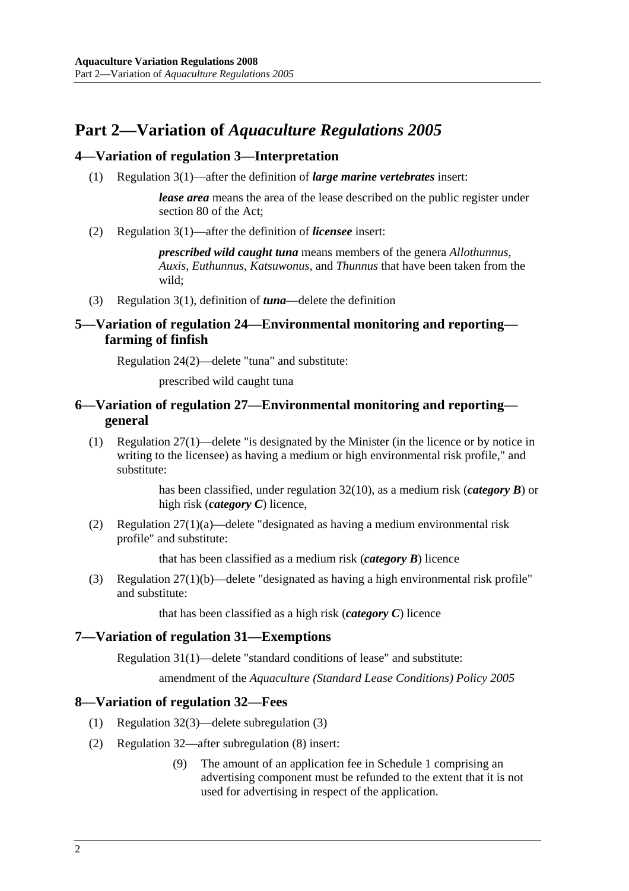## **Part 2—Variation of** *Aquaculture Regulations 2005*

### **4—Variation of regulation 3—Interpretation**

(1) Regulation 3(1)—after the definition of *large marine vertebrates* insert:

*lease area* means the area of the lease described on the public register under section 80 of the Act;

(2) Regulation 3(1)—after the definition of *licensee* insert:

*prescribed wild caught tuna* means members of the genera *Allothunnus*, *Auxis*, *Euthunnus*, *Katsuwonus*, and *Thunnus* that have been taken from the wild;

(3) Regulation 3(1), definition of *tuna*—delete the definition

### **5—Variation of regulation 24—Environmental monitoring and reporting farming of finfish**

Regulation 24(2)—delete "tuna" and substitute:

prescribed wild caught tuna

### **6—Variation of regulation 27—Environmental monitoring and reporting general**

 (1) Regulation 27(1)—delete "is designated by the Minister (in the licence or by notice in writing to the licensee) as having a medium or high environmental risk profile," and substitute:

> has been classified, under regulation 32(10), as a medium risk (*category B*) or high risk (*category C*) licence,

 (2) Regulation 27(1)(a)—delete "designated as having a medium environmental risk profile" and substitute:

that has been classified as a medium risk (*category B*) licence

 (3) Regulation 27(1)(b)—delete "designated as having a high environmental risk profile" and substitute:

that has been classified as a high risk (*category C*) licence

### **7—Variation of regulation 31—Exemptions**

Regulation 31(1)—delete "standard conditions of lease" and substitute:

amendment of the *Aquaculture (Standard Lease Conditions) Policy 2005*

### **8—Variation of regulation 32—Fees**

- (1) Regulation 32(3)—delete subregulation (3)
- (2) Regulation 32—after subregulation (8) insert:
	- (9) The amount of an application fee in Schedule 1 comprising an advertising component must be refunded to the extent that it is not used for advertising in respect of the application.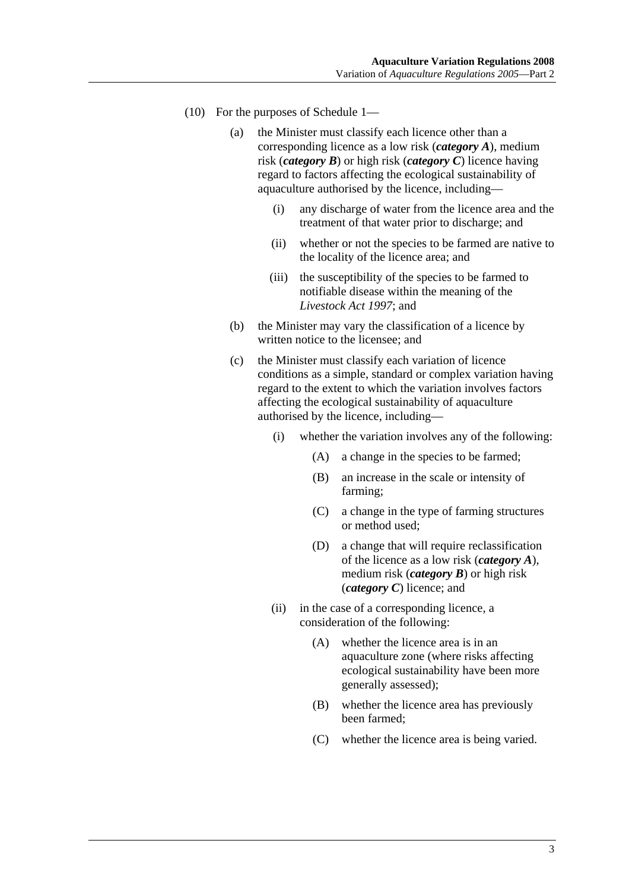- (10) For the purposes of Schedule 1—
	- (a) the Minister must classify each licence other than a corresponding licence as a low risk (*category A*), medium risk (*category B*) or high risk (*category C*) licence having regard to factors affecting the ecological sustainability of aquaculture authorised by the licence, including—
		- (i) any discharge of water from the licence area and the treatment of that water prior to discharge; and
		- (ii) whether or not the species to be farmed are native to the locality of the licence area; and
		- (iii) the susceptibility of the species to be farmed to notifiable disease within the meaning of the *Livestock Act 1997*; and
	- (b) the Minister may vary the classification of a licence by written notice to the licensee; and
	- (c) the Minister must classify each variation of licence conditions as a simple, standard or complex variation having regard to the extent to which the variation involves factors affecting the ecological sustainability of aquaculture authorised by the licence, including—
		- (i) whether the variation involves any of the following:
			- (A) a change in the species to be farmed;
			- (B) an increase in the scale or intensity of farming;
			- (C) a change in the type of farming structures or method used;
			- (D) a change that will require reclassification of the licence as a low risk (*category A*), medium risk (*category B*) or high risk (*category C*) licence; and
		- (ii) in the case of a corresponding licence, a consideration of the following:
			- (A) whether the licence area is in an aquaculture zone (where risks affecting ecological sustainability have been more generally assessed);
			- (B) whether the licence area has previously been farmed;
			- (C) whether the licence area is being varied.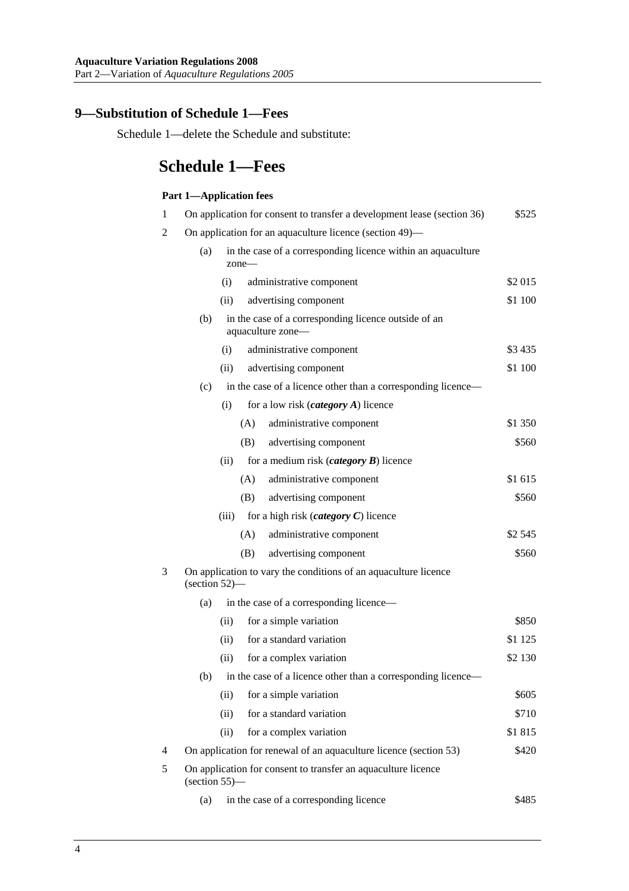### **9—Substitution of Schedule 1—Fees**

Schedule 1—delete the Schedule and substitute:

# **Schedule 1—Fees**

#### **Part 1—Application fees**

| 1 | On application for consent to transfer a development lease (section 36)                                  | \$525    |
|---|----------------------------------------------------------------------------------------------------------|----------|
| 2 | On application for an aquaculture licence (section 49)—                                                  |          |
|   | in the case of a corresponding licence within an aquaculture<br>(a)<br>$zone-$                           |          |
|   | administrative component<br>(i)                                                                          | \$2 015  |
|   | (ii)<br>advertising component                                                                            | \$1 100  |
|   | in the case of a corresponding licence outside of an<br>(b)<br>aquaculture zone-                         |          |
|   | administrative component<br>(i)                                                                          | \$3435   |
|   | advertising component<br>(ii)                                                                            | \$1 100  |
|   | in the case of a licence other than a corresponding licence—<br>(c)                                      |          |
|   | for a low risk $(c \text{category } A)$ licence<br>(i)                                                   |          |
|   | administrative component<br>(A)                                                                          | \$1 350  |
|   | advertising component<br>(B)                                                                             | \$560    |
|   | for a medium risk ( <i>category</i> $\bf{B}$ ) licence<br>(ii)                                           |          |
|   | (A)<br>administrative component                                                                          | \$1 615  |
|   | advertising component<br>(B)                                                                             | \$560    |
|   | for a high risk ( <i>category</i> $C$ ) licence<br>(iii)                                                 |          |
|   | (A)<br>administrative component                                                                          | \$2 545  |
|   | (B)<br>advertising component                                                                             | \$560    |
| 3 | On application to vary the conditions of an aquaculture licence<br>$\left( \text{section } 52 \right)$ — |          |
|   | in the case of a corresponding licence—<br>(a)                                                           |          |
|   | for a simple variation<br>(ii)                                                                           | \$850    |
|   | for a standard variation<br>(ii)                                                                         | \$1 1 25 |
|   | (ii)<br>for a complex variation                                                                          | \$2 130  |
|   | in the case of a licence other than a corresponding licence—<br>(b)                                      |          |
|   | (ii)<br>for a simple variation                                                                           | \$605    |
|   | for a standard variation<br>(ii)                                                                         | \$710    |
|   | (ii)<br>for a complex variation                                                                          | \$1815   |
| 4 | On application for renewal of an aquaculture licence (section 53)                                        | \$420    |
| 5 | On application for consent to transfer an aquaculture licence<br>$(section 55)$ —                        |          |
|   | in the case of a corresponding licence<br>(a)                                                            | \$485    |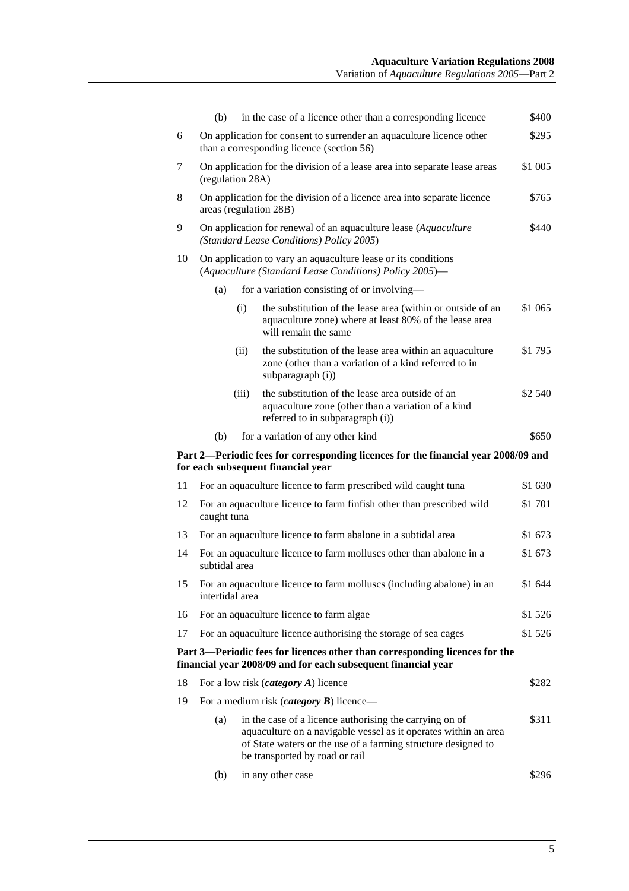|    | (b)                                                                                                                     | in the case of a licence other than a corresponding licence                                                                                                                                                                   | \$400   |
|----|-------------------------------------------------------------------------------------------------------------------------|-------------------------------------------------------------------------------------------------------------------------------------------------------------------------------------------------------------------------------|---------|
| 6  |                                                                                                                         | On application for consent to surrender an aquaculture licence other<br>than a corresponding licence (section 56)                                                                                                             | \$295   |
| 7  | \$1 005<br>On application for the division of a lease area into separate lease areas<br>(regulation 28A)                |                                                                                                                                                                                                                               |         |
| 8  | On application for the division of a licence area into separate licence<br>\$765<br>areas (regulation 28B)              |                                                                                                                                                                                                                               |         |
| 9  | On application for renewal of an aquaculture lease (Aquaculture<br>(Standard Lease Conditions) Policy 2005)             |                                                                                                                                                                                                                               | \$440   |
| 10 | On application to vary an aquaculture lease or its conditions<br>(Aquaculture (Standard Lease Conditions) Policy 2005)- |                                                                                                                                                                                                                               |         |
|    | (a)                                                                                                                     | for a variation consisting of or involving-                                                                                                                                                                                   |         |
|    | (i)                                                                                                                     | the substitution of the lease area (within or outside of an<br>aquaculture zone) where at least 80% of the lease area<br>will remain the same                                                                                 | \$1 065 |
|    | (ii)                                                                                                                    | the substitution of the lease area within an aquaculture<br>zone (other than a variation of a kind referred to in<br>subparagraph (i))                                                                                        | \$1 795 |
|    | (iii)                                                                                                                   | the substitution of the lease area outside of an<br>aquaculture zone (other than a variation of a kind<br>referred to in subparagraph (i))                                                                                    | \$2 540 |
|    | (b)                                                                                                                     | for a variation of any other kind                                                                                                                                                                                             | \$650   |
|    |                                                                                                                         |                                                                                                                                                                                                                               |         |
|    |                                                                                                                         | Part 2—Periodic fees for corresponding licences for the financial year 2008/09 and<br>for each subsequent financial year                                                                                                      |         |
| 11 |                                                                                                                         | For an aquaculture licence to farm prescribed wild caught tuna                                                                                                                                                                | \$1 630 |
| 12 | caught tuna                                                                                                             | For an aquaculture licence to farm finfish other than prescribed wild                                                                                                                                                         | \$1 701 |
| 13 |                                                                                                                         | For an aquaculture licence to farm abalone in a subtidal area                                                                                                                                                                 | \$1 673 |
| 14 | subtidal area                                                                                                           | For an aquaculture licence to farm molluscs other than abalone in a                                                                                                                                                           | \$1 673 |
| 15 | intertidal area                                                                                                         | For an aquaculture licence to farm molluscs (including abalone) in an                                                                                                                                                         | \$1 644 |
| 16 |                                                                                                                         | For an aquaculture licence to farm algae                                                                                                                                                                                      | \$1 526 |
| 17 |                                                                                                                         | For an aquaculture licence authorising the storage of sea cages                                                                                                                                                               | \$1 526 |
|    |                                                                                                                         | Part 3—Periodic fees for licences other than corresponding licences for the<br>financial year 2008/09 and for each subsequent financial year                                                                                  |         |
| 18 |                                                                                                                         | For a low risk ( <i>category</i> $A$ ) licence                                                                                                                                                                                | \$282   |
| 19 |                                                                                                                         | For a medium risk ( <i>category B</i> ) licence—                                                                                                                                                                              |         |
|    | (a)                                                                                                                     | in the case of a licence authorising the carrying on of<br>aquaculture on a navigable vessel as it operates within an area<br>of State waters or the use of a farming structure designed to<br>be transported by road or rail | \$311   |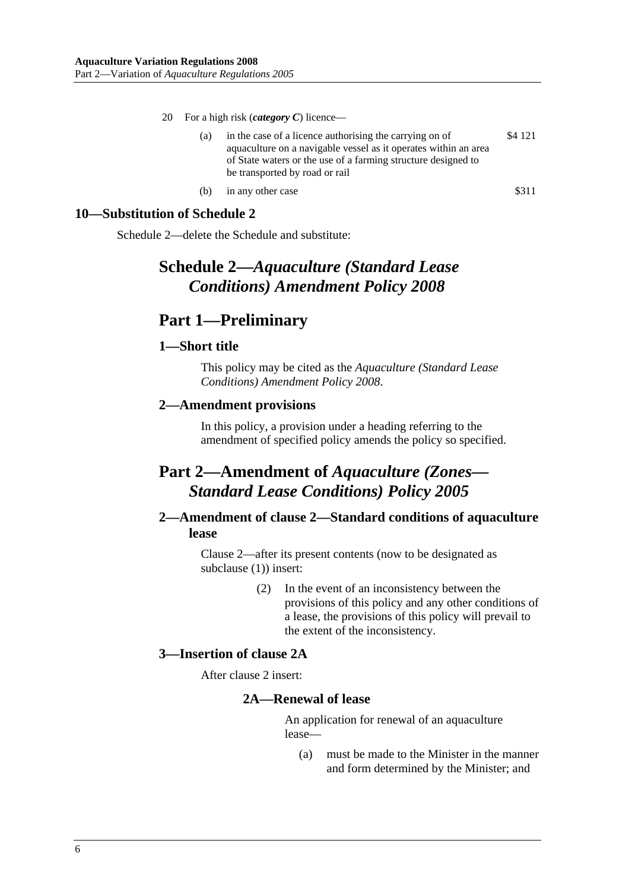- 20 For a high risk (*category C*) licence—
	- (a) in the case of a licence authorising the carrying on of aquaculture on a navigable vessel as it operates within an area of State waters or the use of a farming structure designed to be transported by road or rail \$4 121
	- (b) in any other case  $$311$

### **10—Substitution of Schedule 2**

Schedule 2—delete the Schedule and substitute:

## **Schedule 2—***Aquaculture (Standard Lease Conditions) Amendment Policy 2008*

## **Part 1—Preliminary**

### **1—Short title**

This policy may be cited as the *Aquaculture (Standard Lease Conditions) Amendment Policy 2008*.

### **2—Amendment provisions**

In this policy, a provision under a heading referring to the amendment of specified policy amends the policy so specified.

## **Part 2—Amendment of** *Aquaculture (Zones— Standard Lease Conditions) Policy 2005*

### **2—Amendment of clause 2—Standard conditions of aquaculture lease**

Clause 2—after its present contents (now to be designated as subclause (1)) insert:

> (2) In the event of an inconsistency between the provisions of this policy and any other conditions of a lease, the provisions of this policy will prevail to the extent of the inconsistency.

### **3—Insertion of clause 2A**

After clause 2 insert:

### **2A—Renewal of lease**

An application for renewal of an aquaculture lease—

 (a) must be made to the Minister in the manner and form determined by the Minister; and